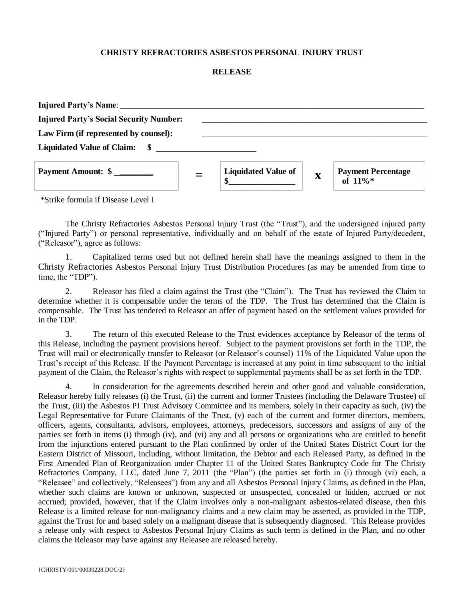## **CHRISTY REFRACTORIES ASBESTOS PERSONAL INJURY TRUST**

## **RELEASE**

| Injured Party's Name:                          |                            |             |                                   |
|------------------------------------------------|----------------------------|-------------|-----------------------------------|
| <b>Injured Party's Social Security Number:</b> |                            |             |                                   |
| Law Firm (if represented by counsel):          |                            |             |                                   |
|                                                |                            |             |                                   |
| Payment Amount: \$                             | <b>Liquidated Value of</b> | $\mathbf X$ | Payment Percentage<br>of $11\%$ * |

\*Strike formula if Disease Level I

The Christy Refractories Asbestos Personal Injury Trust (the "Trust"), and the undersigned injured party ("Injured Party") or personal representative, individually and on behalf of the estate of Injured Party/decedent, ("Releasor"), agree as follows:

1. Capitalized terms used but not defined herein shall have the meanings assigned to them in the Christy Refractories Asbestos Personal Injury Trust Distribution Procedures (as may be amended from time to time, the "TDP").

2. Releasor has filed a claim against the Trust (the "Claim"). The Trust has reviewed the Claim to determine whether it is compensable under the terms of the TDP. The Trust has determined that the Claim is compensable. The Trust has tendered to Releasor an offer of payment based on the settlement values provided for in the TDP.

3. The return of this executed Release to the Trust evidences acceptance by Releasor of the terms of this Release, including the payment provisions hereof. Subject to the payment provisions set forth in the TDP, the Trust will mail or electronically transfer to Releasor (or Releasor's counsel) 11% of the Liquidated Value upon the Trust's receipt of this Release. If the Payment Percentage is increased at any point in time subsequent to the initial payment of the Claim, the Releasor's rights with respect to supplemental payments shall be as set forth in the TDP.

4. In consideration for the agreements described herein and other good and valuable consideration, Releasor hereby fully releases (i) the Trust, (ii) the current and former Trustees (including the Delaware Trustee) of the Trust, (iii) the Asbestos PI Trust Advisory Committee and its members, solely in their capacity as such, (iv) the Legal Representative for Future Claimants of the Trust, (v) each of the current and former directors, members, officers, agents, consultants, advisors, employees, attorneys, predecessors, successors and assigns of any of the parties set forth in items (i) through (iv), and (vi) any and all persons or organizations who are entitled to benefit from the injunctions entered pursuant to the Plan confirmed by order of the United States District Court for the Eastern District of Missouri, including, without limitation, the Debtor and each Released Party, as defined in the First Amended Plan of Reorganization under Chapter 11 of the United States Bankruptcy Code for The Christy Refractories Company, LLC, dated June 7, 2011 (the "Plan") (the parties set forth in (i) through (vi) each, a "Releasee" and collectively, "Releasees") from any and all Asbestos Personal Injury Claims, as defined in the Plan, whether such claims are known or unknown, suspected or unsuspected, concealed or hidden, accrued or not accrued; provided, however, that if the Claim involves only a non-malignant asbestos-related disease, then this Release is a limited release for non-malignancy claims and a new claim may be asserted, as provided in the TDP, against the Trust for and based solely on a malignant disease that is subsequently diagnosed. This Release provides a release only with respect to Asbestos Personal Injury Claims as such term is defined in the Plan, and no other claims the Releasor may have against any Releasee are released hereby.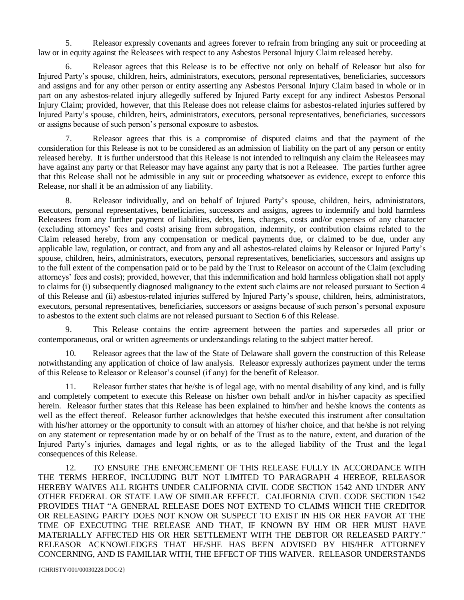5. Releasor expressly covenants and agrees forever to refrain from bringing any suit or proceeding at law or in equity against the Releasees with respect to any Asbestos Personal Injury Claim released hereby.

6. Releasor agrees that this Release is to be effective not only on behalf of Releasor but also for Injured Party's spouse, children, heirs, administrators, executors, personal representatives, beneficiaries, successors and assigns and for any other person or entity asserting any Asbestos Personal Injury Claim based in whole or in part on any asbestos-related injury allegedly suffered by Injured Party except for any indirect Asbestos Personal Injury Claim; provided, however, that this Release does not release claims for asbestos-related injuries suffered by Injured Party's spouse, children, heirs, administrators, executors, personal representatives, beneficiaries, successors or assigns because of such person's personal exposure to asbestos.

7. Releasor agrees that this is a compromise of disputed claims and that the payment of the consideration for this Release is not to be considered as an admission of liability on the part of any person or entity released hereby. It is further understood that this Release is not intended to relinquish any claim the Releasees may have against any party or that Releasor may have against any party that is not a Releasee. The parties further agree that this Release shall not be admissible in any suit or proceeding whatsoever as evidence, except to enforce this Release, nor shall it be an admission of any liability.

8. Releasor individually, and on behalf of Injured Party's spouse, children, heirs, administrators, executors, personal representatives, beneficiaries, successors and assigns, agrees to indemnify and hold harmless Releasees from any further payment of liabilities, debts, liens, charges, costs and/or expenses of any character (excluding attorneys' fees and costs) arising from subrogation, indemnity, or contribution claims related to the Claim released hereby, from any compensation or medical payments due, or claimed to be due, under any applicable law, regulation, or contract, and from any and all asbestos-related claims by Releasor or Injured Party's spouse, children, heirs, administrators, executors, personal representatives, beneficiaries, successors and assigns up to the full extent of the compensation paid or to be paid by the Trust to Releasor on account of the Claim (excluding attorneys' fees and costs); provided, however, that this indemnification and hold harmless obligation shall not apply to claims for (i) subsequently diagnosed malignancy to the extent such claims are not released pursuant to Section 4 of this Release and (ii) asbestos-related injuries suffered by Injured Party's spouse, children, heirs, administrators, executors, personal representatives, beneficiaries, successors or assigns because of such person's personal exposure to asbestos to the extent such claims are not released pursuant to Section 6 of this Release.

9. This Release contains the entire agreement between the parties and supersedes all prior or contemporaneous, oral or written agreements or understandings relating to the subject matter hereof.

10. Releasor agrees that the law of the State of Delaware shall govern the construction of this Release notwithstanding any application of choice of law analysis. Releasor expressly authorizes payment under the terms of this Release to Releasor or Releasor's counsel (if any) for the benefit of Releasor.

11. Releasor further states that he/she is of legal age, with no mental disability of any kind, and is fully and completely competent to execute this Release on his/her own behalf and/or in his/her capacity as specified herein. Releasor further states that this Release has been explained to him/her and he/she knows the contents as well as the effect thereof. Releasor further acknowledges that he/she executed this instrument after consultation with his/her attorney or the opportunity to consult with an attorney of his/her choice, and that he/she is not relying on any statement or representation made by or on behalf of the Trust as to the nature, extent, and duration of the Injured Party's injuries, damages and legal rights, or as to the alleged liability of the Trust and the legal consequences of this Release.

12. TO ENSURE THE ENFORCEMENT OF THIS RELEASE FULLY IN ACCORDANCE WITH THE TERMS HEREOF, INCLUDING BUT NOT LIMITED TO PARAGRAPH 4 HEREOF, RELEASOR HEREBY WAIVES ALL RIGHTS UNDER CALIFORNIA CIVIL CODE SECTION 1542 AND UNDER ANY OTHER FEDERAL OR STATE LAW OF SIMILAR EFFECT. CALIFORNIA CIVIL CODE SECTION 1542 PROVIDES THAT "A GENERAL RELEASE DOES NOT EXTEND TO CLAIMS WHICH THE CREDITOR OR RELEASING PARTY DOES NOT KNOW OR SUSPECT TO EXIST IN HIS OR HER FAVOR AT THE TIME OF EXECUTING THE RELEASE AND THAT, IF KNOWN BY HIM OR HER MUST HAVE MATERIALLY AFFECTED HIS OR HER SETTLEMENT WITH THE DEBTOR OR RELEASED PARTY." RELEASOR ACKNOWLEDGES THAT HE/SHE HAS BEEN ADVISED BY HIS/HER ATTORNEY CONCERNING, AND IS FAMILIAR WITH, THE EFFECT OF THIS WAIVER. RELEASOR UNDERSTANDS